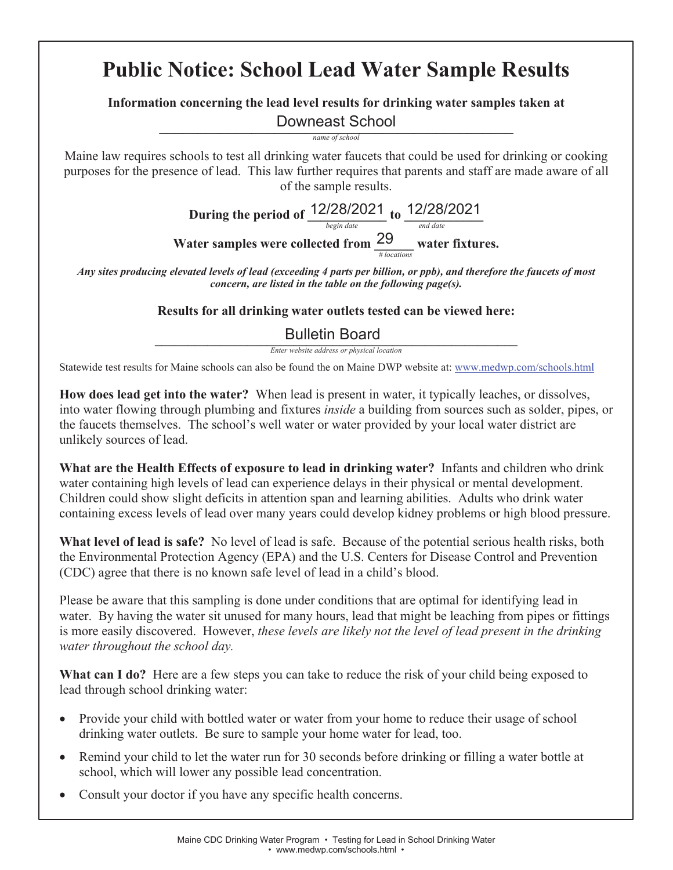# **Public Notice: School Lead Water Sample Results**

# **Information concerning the lead level results for drinking water samples taken at \_\_\_\_\_\_\_\_\_\_\_\_\_\_\_\_\_\_\_\_\_\_\_\_\_\_\_\_\_\_\_\_\_\_\_\_\_\_\_\_\_\_\_\_\_\_** Downeast School

*name of school* 

Maine law requires schools to test all drinking water faucets that could be used for drinking or cooking purposes for the presence of lead. This law further requires that parents and staff are made aware of all of the sample results.

> **During the period of**  $\frac{|Z|Z0|Z0Z}{begin}$  **to**  $\frac{|Z|Z0|Z0Z}{end}$ Water samples were collected from  $\frac{29}{\frac{4}{10 \text{ cations}}}$  water fixtures. 12/28/2021 to 12/28/2021 29

*Any sites producing elevated levels of lead (exceeding 4 parts per billion, or ppb), and therefore the faucets of most concern, are listed in the table on the following page(s).* 

# **Results for all drinking water outlets tested can be viewed here:**

#### $\blacksquare$ Bulletin Board

*Enter website address or physical location* 

Statewide test results for Maine schools can also be found the on Maine DWP website at: www.medwp.com/schools.html

**How does lead get into the water?** When lead is present in water, it typically leaches, or dissolves, into water flowing through plumbing and fixtures *inside* a building from sources such as solder, pipes, or the faucets themselves. The school's well water or water provided by your local water district are unlikely sources of lead.

**What are the Health Effects of exposure to lead in drinking water?** Infants and children who drink water containing high levels of lead can experience delays in their physical or mental development. Children could show slight deficits in attention span and learning abilities. Adults who drink water containing excess levels of lead over many years could develop kidney problems or high blood pressure.

**What level of lead is safe?** No level of lead is safe. Because of the potential serious health risks, both the Environmental Protection Agency (EPA) and the U.S. Centers for Disease Control and Prevention (CDC) agree that there is no known safe level of lead in a child's blood.

Please be aware that this sampling is done under conditions that are optimal for identifying lead in water. By having the water sit unused for many hours, lead that might be leaching from pipes or fittings is more easily discovered. However, *these levels are likely not the level of lead present in the drinking water throughout the school day.* 

What can I do? Here are a few steps you can take to reduce the risk of your child being exposed to lead through school drinking water:

- Provide your child with bottled water or water from your home to reduce their usage of school drinking water outlets. Be sure to sample your home water for lead, too.
- x Remind your child to let the water run for 30 seconds before drinking or filling a water bottle at school, which will lower any possible lead concentration.
- Consult your doctor if you have any specific health concerns.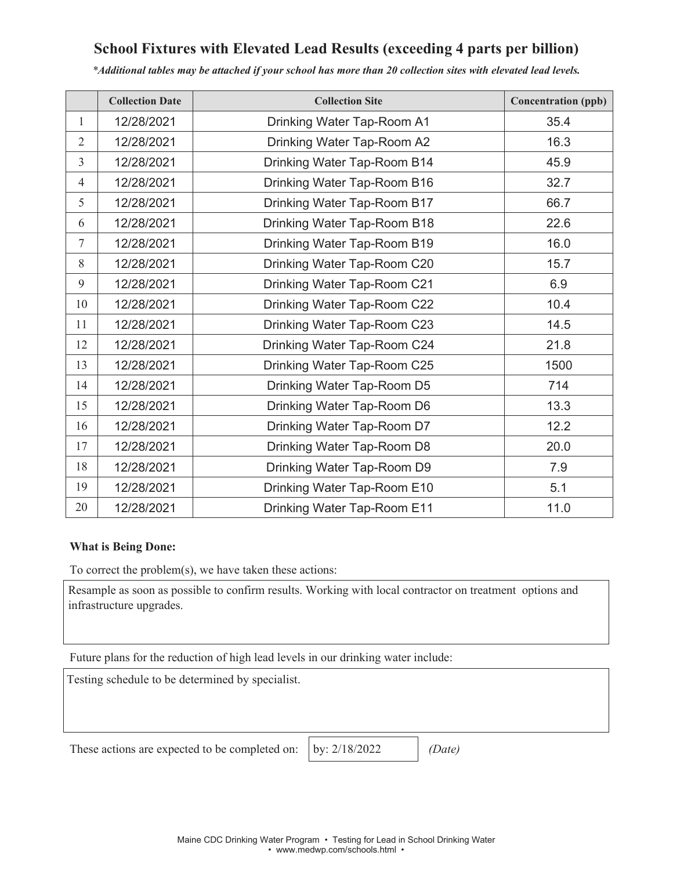# **School Fixtures with Elevated Lead Results (exceeding 4 parts per billion)**

*\*Additional tables may be attached if your school has more than 20 collection sites with elevated lead levels.*

|                | <b>Collection Date</b> | <b>Collection Site</b>      | <b>Concentration (ppb)</b> |
|----------------|------------------------|-----------------------------|----------------------------|
| 1              | 12/28/2021             | Drinking Water Tap-Room A1  | 35.4                       |
| 2              | 12/28/2021             | Drinking Water Tap-Room A2  | 16.3                       |
| 3              | 12/28/2021             | Drinking Water Tap-Room B14 | 45.9                       |
| $\overline{4}$ | 12/28/2021             | Drinking Water Tap-Room B16 | 32.7                       |
| 5              | 12/28/2021             | Drinking Water Tap-Room B17 | 66.7                       |
| 6              | 12/28/2021             | Drinking Water Tap-Room B18 | 22.6                       |
| $\tau$         | 12/28/2021             | Drinking Water Tap-Room B19 | 16.0                       |
| 8              | 12/28/2021             | Drinking Water Tap-Room C20 | 15.7                       |
| 9              | 12/28/2021             | Drinking Water Tap-Room C21 | 6.9                        |
| 10             | 12/28/2021             | Drinking Water Tap-Room C22 | 10.4                       |
| 11             | 12/28/2021             | Drinking Water Tap-Room C23 | 14.5                       |
| 12             | 12/28/2021             | Drinking Water Tap-Room C24 | 21.8                       |
| 13             | 12/28/2021             | Drinking Water Tap-Room C25 | 1500                       |
| 14             | 12/28/2021             | Drinking Water Tap-Room D5  | 714                        |
| 15             | 12/28/2021             | Drinking Water Tap-Room D6  | 13.3                       |
| 16             | 12/28/2021             | Drinking Water Tap-Room D7  | 12.2                       |
| 17             | 12/28/2021             | Drinking Water Tap-Room D8  | 20.0                       |
| 18             | 12/28/2021             | Drinking Water Tap-Room D9  | 7.9                        |
| 19             | 12/28/2021             | Drinking Water Tap-Room E10 | 5.1                        |
| 20             | 12/28/2021             | Drinking Water Tap-Room E11 | 11.0                       |

#### **What is Being Done:**

To correct the problem(s), we have taken these actions:

Resample as soon as possible to confirm results. Working with local contractor on treatment options and infrastructure upgrades.

Future plans for the reduction of high lead levels in our drinking water include:

Testing schedule to be determined by specialist.

These actions are expected to be completed on: *(by: 2/18/2022) (Date)* 

by: 2/18/2022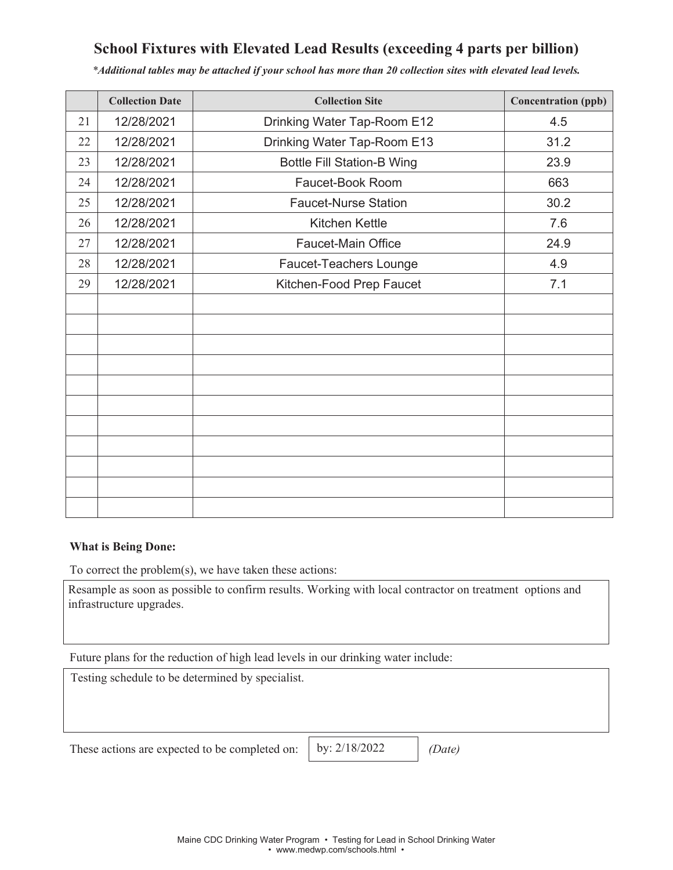# **School Fixtures with Elevated Lead Results (exceeding 4 parts per billion)**

|    | <b>Collection Date</b> | <b>Collection Site</b>            | <b>Concentration (ppb)</b> |
|----|------------------------|-----------------------------------|----------------------------|
| 21 | 12/28/2021             | Drinking Water Tap-Room E12       | 4.5                        |
| 22 | 12/28/2021             | Drinking Water Tap-Room E13       | 31.2                       |
| 23 | 12/28/2021             | <b>Bottle Fill Station-B Wing</b> | 23.9                       |
| 24 | 12/28/2021             | Faucet-Book Room                  | 663                        |
| 25 | 12/28/2021             | <b>Faucet-Nurse Station</b>       | 30.2                       |
| 26 | 12/28/2021             | Kitchen Kettle                    | 7.6                        |
| 27 | 12/28/2021             | Faucet-Main Office                | 24.9                       |
| 28 | 12/28/2021             | Faucet-Teachers Lounge            | 4.9                        |
| 29 | 12/28/2021             | Kitchen-Food Prep Faucet          | 7.1                        |
|    |                        |                                   |                            |
|    |                        |                                   |                            |
|    |                        |                                   |                            |
|    |                        |                                   |                            |
|    |                        |                                   |                            |
|    |                        |                                   |                            |
|    |                        |                                   |                            |
|    |                        |                                   |                            |
|    |                        |                                   |                            |
|    |                        |                                   |                            |
|    |                        |                                   |                            |

*\*Additional tables may be attached if your school has more than 20 collection sites with elevated lead levels.*

#### **What is Being Done:**

To correct the problem(s), we have taken these actions:

Resample as soon as possible to confirm results. Working with local contractor on treatment options and infrastructure upgrades.

Future plans for the reduction of high lead levels in our drinking water include:

Testing schedule to be determined by specialist.

These actions are expected to be completed on: **(by:** 2/18/2022 (*Date)* 

by: 2/18/2022